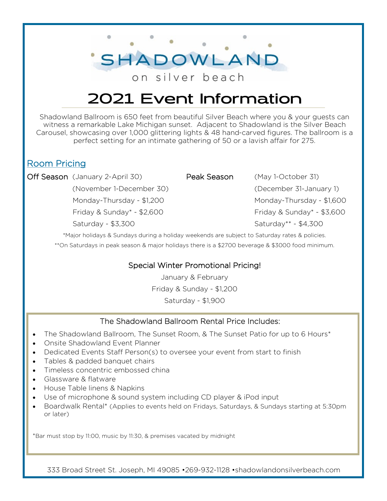on silver beach

SHADOWLAND

## 2021 Event Information

Shadowland Ballroom is 650 feet from beautiful Silver Beach where you & your guests can witness a remarkable Lake Michigan sunset. Adjacent to Shadowland is the Silver Beach Carousel, showcasing over 1,000 glittering lights & 48 hand-carved figures. The ballroom is a perfect setting for an intimate gathering of 50 or a lavish affair for 275.

#### Room Pricing

Off Season (January 2-April 30) Peak Season (May 1-October 31)

(November 1-December 30) (December 31-January 1) Monday-Thursday - \$1,200 Monday-Thursday - \$1,600 Friday & Sunday\* - \$2,600 Friday & Sunday\* - \$3,600 Saturday - \$3,300 Saturday\*\* - \$4,300

\*Major holidays & Sundays during a holiday weekends are subject to Saturday rates & policies. \*\*On Saturdays in peak season & major holidays there is a \$2700 beverage & \$3000 food minimum.

#### Special Winter Promotional Pricing!

January & February Friday & Sunday - \$1,200 Saturday - \$1,900

#### The Shadowland Ballroom Rental Price Includes:

- The Shadowland Ballroom, The Sunset Room, & The Sunset Patio for up to 6 Hours\*
- Onsite Shadowland Event Planner
- Dedicated Events Staff Person(s) to oversee your event from start to finish
- Tables & padded banquet chairs
- Timeless concentric embossed china
- Glassware & flatware
- House Table linens & Napkins
- Use of microphone & sound system including CD player & iPod input
- Boardwalk Rental\* (Applies to events held on Fridays, Saturdays, & Sundays starting at 5:30pm or later)

\*Bar must stop by 11:00, music by 11:30, & premises vacated by midnight

333 Broad Street St. Joseph, MI 49085 •269-932-1128 •shadowlandonsilverbeach.com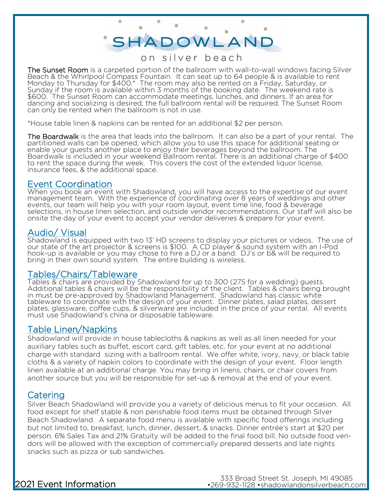# SHADOWLAND

 $\circ$ 

#### on silver beach

The Sunset Room is a carpeted portion of the ballroom with wall-to-wall windows facing Silver Beach & the Whirlpool Compass Fountain. It can seat up to 64 people & is available to rent Monday to Thursday for \$400.\* The room may also be rented on a Friday, Saturday, or Sunday if the room is available within 3 months of the booking date. The weekend rate is \$600. The Sunset Room can accommodate meetings, lunches, and dinners. If an area for dancing and socializing is desired, the full ballroom rental will be required. The Sunset Room can only be rented when the ballroom is not in use.

\*House table linen & napkins can be rented for an additional \$2 per person.

The Boardwalk is the area that leads into the ballroom. It can also be a part of your rental. The partitioned walls can be opened, which allow you to use this space for additional seating or enable your guests another place to enjoy their beverages beyond the ballroom. The Boardwalk is included in your weekend Ballroom rental. There is an additional charge of \$400 to rent the space during the week. This covers the cost of the extended liquor license, insurance fees, & the additional space.

#### Event Coordination

When you book an event with Shadowland, you will have access to the expertise of our event management team. With the experience of coordinating over 8 years of weddings and other events, our team will help you with your room layout, event time line, food & beverage selections, in house linen selection, and outside vendor recommendations. Our staff will also be onsite the day of your event to accept your vendor deliveries & prepare for your event.

#### Audio/ Visual

Shadowland is equipped with two 13' HD screens to display your pictures or videos. The use of our state of the art projector & screens is \$100. A CD player & sound system with an I-Pod hook-up is available or you may chose to hire a DJ or a band. DJ's or b& will be required to bring in their own sound system. The entire building is wireless.

#### Tables/Chairs/Tableware

Tables & chairs are provided by Shadowland for up to 300 (275 for a wedding) guests. Additional tables & chairs will be the responsibility of the client. Tables & chairs being brought in must be pre-approved by Shadowland Management. Shadowland has classic white tableware to coordinate with the design of your event. Dinner plates, salad plates, dessert plates, glassware, coffee cups, & silverware are included in the price of your rental. All events must use Shadowland's china or disposable tableware.

#### Table Linen/Napkins

Shadowland will provide in house tablecloths & napkins as well as all linen needed for your auxiliary tables such as buffet, escort card, gift tables, etc. for your event at no additional charge with standard sizing with a ballroom rental. We offer white, ivory, navy, or black table cloths & a variety of napkin colors to coordinate with the design of your event. Floor length linen available at an additional charge. You may bring in linens, chairs, or chair covers from another source but you will be responsible for set-up & removal at the end of your event.

#### Catering

Silver Beach Shadowland will provide you a variety of delicious menus to fit your occasion. All food except for shelf stable & non perishable food items must be obtained through Silver Beach Shadowland. A separate food menu is available with specific food offerings including but not limited to, breakfast, lunch, dinner, dessert, & snacks. Dinner entrée's start at \$20 per person. 6% Sales Tax and 21% Gratuity will be added to the final food bill. No outside food vendors will be allowed with the exception of commercially prepared desserts and late nights snacks such as pizza or sub sandwiches.

### 2021 Event Information